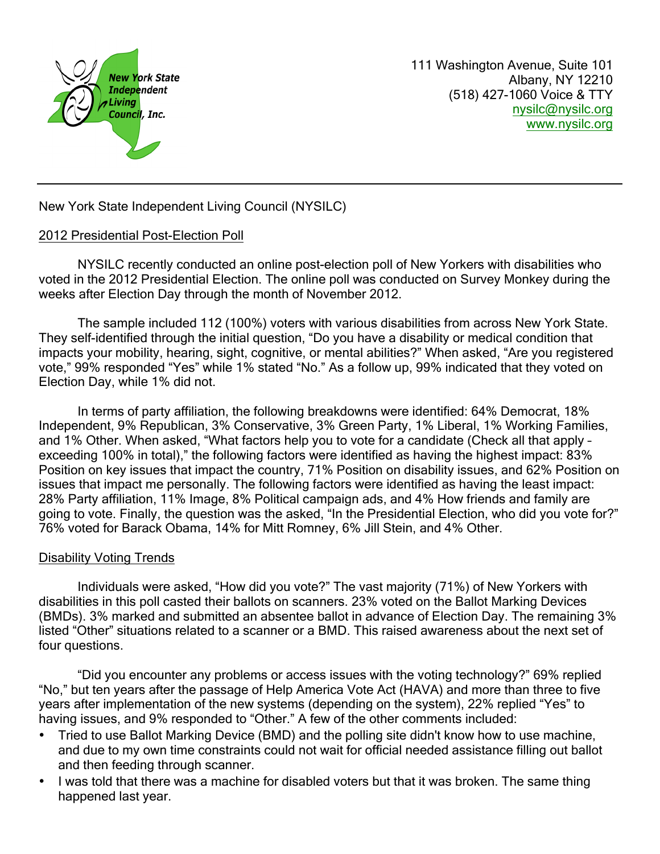

111 Washington Avenue, Suite 101 Albany, NY 12210 (518) 427-1060 Voice & TTY nysilc@nysilc.org [www.nysilc.org](mailto:nysilc@nysilc.org)

New York State Independent Living Council (NYSILC)

## 2012 Presidential Post-Election Poll

NYSILC recently conducted an online post-election poll of New Yorkers with disabilities who voted in the 2012 Presidential Election. The online poll was conducted on Survey Monkey during the weeks after Election Day through the month of November 2012.

The sample included 112 (100%) voters with various disabilities from across New York State. They self-identified through the initial question, "Do you have a disability or medical condition that impacts your mobility, hearing, sight, cognitive, or mental abilities?" When asked, "Are you registered vote," 99% responded "Yes" while 1% stated "No." As a follow up, 99% indicated that they voted on Election Day, while 1% did not.

In terms of party affiliation, the following breakdowns were identified: 64% Democrat, 18% Independent, 9% Republican, 3% Conservative, 3% Green Party, 1% Liberal, 1% Working Families, and 1% Other. When asked, "What factors help you to vote for a candidate (Check all that apply – exceeding 100% in total)," the following factors were identified as having the highest impact: 83% Position on key issues that impact the country, 71% Position on disability issues, and 62% Position on issues that impact me personally. The following factors were identified as having the least impact: 28% Party affiliation, 11% Image, 8% Political campaign ads, and 4% How friends and family are going to vote. Finally, the question was the asked, "In the Presidential Election, who did you vote for?" 76% voted for Barack Obama, 14% for Mitt Romney, 6% Jill Stein, and 4% Other.

## Disability Voting Trends

Individuals were asked, "How did you vote?" The vast majority (71%) of New Yorkers with disabilities in this poll casted their ballots on scanners. 23% voted on the Ballot Marking Devices (BMDs). 3% marked and submitted an absentee ballot in advance of Election Day. The remaining 3% listed "Other" situations related to a scanner or a BMD. This raised awareness about the next set of four questions.

"Did you encounter any problems or access issues with the voting technology?" 69% replied "No," but ten years after the passage of Help America Vote Act (HAVA) and more than three to five years after implementation of the new systems (depending on the system), 22% replied "Yes" to having issues, and 9% responded to "Other." A few of the other comments included:

- Tried to use Ballot Marking Device (BMD) and the polling site didn't know how to use machine, and due to my own time constraints could not wait for official needed assistance filling out ballot and then feeding through scanner.
- I was told that there was a machine for disabled voters but that it was broken. The same thing happened last year.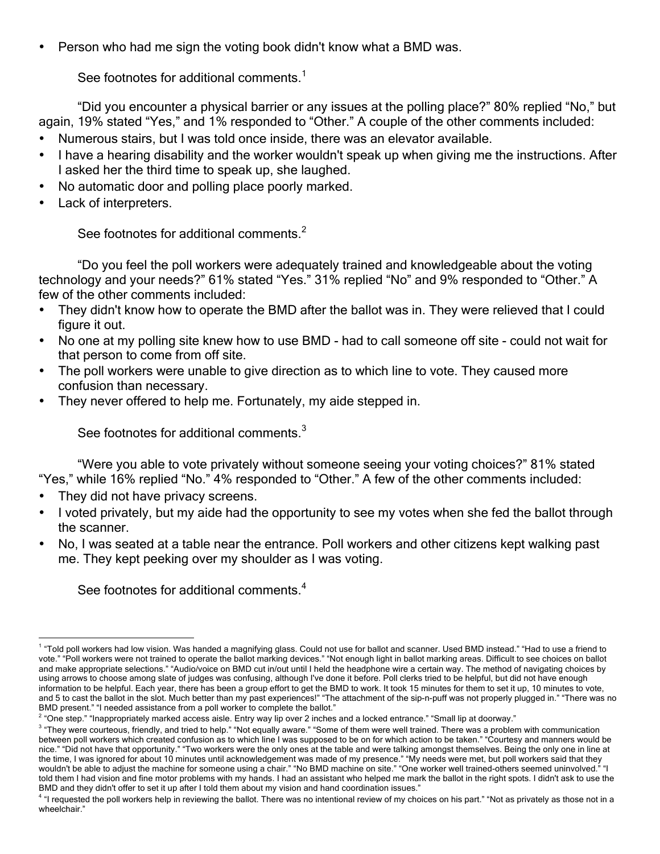• Person who had me sign the voting book didn't know what a BMD was.

See footnotes for additional comments.<sup>1</sup>

"Did you encounter a physical barrier or any issues at the polling place?" 80% replied "No," but again, 19% stated "Yes," and 1% responded to "Other." A couple of the other comments included:

- Numerous stairs, but I was told once inside, there was an elevator available.
- I have a hearing disability and the worker wouldn't speak up when giving me the instructions. After I asked her the third time to speak up, she laughed.
- No automatic door and polling place poorly marked.
- Lack of interpreters.

See footnotes for additional comments.<sup>2</sup>

"Do you feel the poll workers were adequately trained and knowledgeable about the voting technology and your needs?" 61% stated "Yes." 31% replied "No" and 9% responded to "Other." A few of the other comments included:

- They didn't know how to operate the BMD after the ballot was in. They were relieved that I could figure it out.
- No one at my polling site knew how to use BMD had to call someone off site could not wait for that person to come from off site.
- The poll workers were unable to give direction as to which line to vote. They caused more confusion than necessary.
- They never offered to help me. Fortunately, my aide stepped in.

See footnotes for additional comments. $3$ 

"Were you able to vote privately without someone seeing your voting choices?" 81% stated "Yes," while 16% replied "No." 4% responded to "Other." A few of the other comments included:

- They did not have privacy screens.
- I voted privately, but my aide had the opportunity to see my votes when she fed the ballot through the scanner.
- No, I was seated at a table near the entrance. Poll workers and other citizens kept walking past me. They kept peeking over my shoulder as I was voting.

See footnotes for additional comments.<sup>4</sup>

<sup>&</sup>lt;sup>1</sup> "Told poll workers had low vision. Was handed a magnifying glass. Could not use for ballot and scanner. Used BMD instead." "Had to use a friend to vote." "Poll workers were not trained to operate the ballot marking devices." "Not enough light in ballot marking areas. Difficult to see choices on ballot and make appropriate selections." "Audio/voice on BMD cut in/out until I held the headphone wire a certain way. The method of navigating choices by using arrows to choose among slate of judges was confusing, although I've done it before. Poll clerks tried to be helpful, but did not have enough information to be helpful. Each year, there has been a group effort to get the BMD to work. It took 15 minutes for them to set it up, 10 minutes to vote, and 5 to cast the ballot in the slot. Much better than my past experiences!" "The attachment of the sip-n-puff was not properly plugged in." "There was no BMD present." "I needed assistance from a poll worker to complete the ballot."

<sup>&</sup>lt;sup>2</sup> "One step." "Inappropriately marked access aisle. Entry way lip over 2 inches and a locked entrance." "Small lip at doorway."

<sup>&</sup>lt;sup>3</sup> "They were courteous, friendly, and tried to help." "Not equally aware." "Some of them were well trained. There was a problem with communication between poll workers which created confusion as to which line I was supposed to be on for which action to be taken." "Courtesy and manners would be nice." "Did not have that opportunity." "Two workers were the only ones at the table and were talking amongst themselves. Being the only one in line at the time, I was ignored for about 10 minutes until acknowledgement was made of my presence." "My needs were met, but poll workers said that they wouldn't be able to adjust the machine for someone using a chair." "No BMD machine on site." "One worker well trained-others seemed uninvolved. told them I had vision and fine motor problems with my hands. I had an assistant who helped me mark the ballot in the right spots. I didn't ask to use the BMD and they didn't offer to set it up after I told them about my vision and hand coordination issues."

<sup>&</sup>lt;sup>4</sup> "I requested the poll workers help in reviewing the ballot. There was no intentional review of my choices on his part." "Not as privately as those not in a wheelchair."